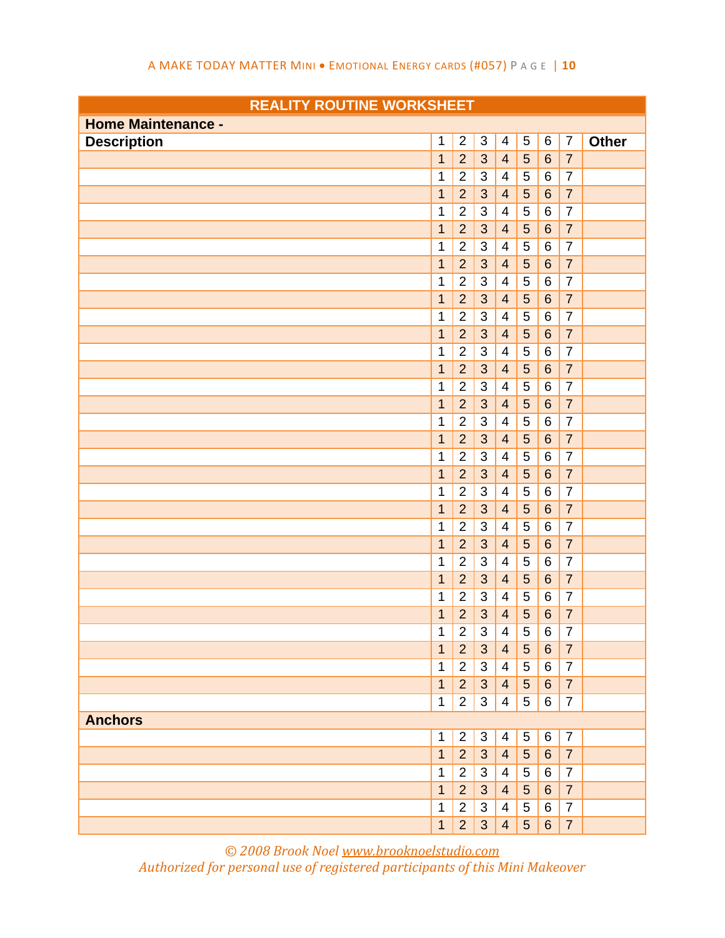| <b>Home Maintenance -</b> |                |                |                |                          |                 |                 |                |              |
|---------------------------|----------------|----------------|----------------|--------------------------|-----------------|-----------------|----------------|--------------|
| <b>Description</b>        | 1              | $\overline{2}$ | $\sqrt{3}$     | $\overline{4}$           | 5               | 6               | $\overline{7}$ | <b>Other</b> |
|                           | $\overline{1}$ | $\overline{2}$ | 3              | $\overline{4}$           | 5               | $\,6\,$         | $\overline{7}$ |              |
|                           | 1              | $\overline{2}$ | $\sqrt{3}$     | $\overline{4}$           | $\sqrt{5}$      | $\,6$           | $\overline{7}$ |              |
|                           | $\mathbf{1}$   | $\overline{2}$ | 3              | $\overline{4}$           | $\overline{5}$  | $6\phantom{1}6$ | $\overline{7}$ |              |
|                           | 1              | $\overline{2}$ | 3              | $\overline{\mathcal{A}}$ | 5               | $\,6$           | $\overline{7}$ |              |
|                           | $\mathbf{1}$   | $\overline{2}$ | 3              | $\overline{4}$           | 5               | $\,6\,$         | $\overline{7}$ |              |
|                           | 1              | $\mathbf 2$    | 3              | $\overline{\mathcal{A}}$ | $\sqrt{5}$      | $\,6$           | $\overline{7}$ |              |
|                           | $\mathbf{1}$   | $\overline{2}$ | 3              | $\overline{4}$           | 5               | $\,6\,$         | $\overline{7}$ |              |
|                           | 1              | $\overline{2}$ | $\sqrt{3}$     | $\overline{4}$           | $\sqrt{5}$      | $\,6$           | $\overline{7}$ |              |
|                           | $\mathbf 1$    | $\overline{2}$ | 3              | $\overline{4}$           | $\overline{5}$  | $\,6\,$         | $\overline{7}$ |              |
|                           | 1              | $\overline{2}$ | $\sqrt{3}$     | $\overline{4}$           | $\overline{5}$  | $\,6$           | $\overline{7}$ |              |
|                           | 1              | $\overline{2}$ | 3              | $\overline{4}$           | 5               | $\,6\,$         | $\overline{7}$ |              |
|                           | 1              | $\overline{2}$ | 3              | $\overline{4}$           | 5               | $\,6$           | $\overline{7}$ |              |
|                           | $\mathbf{1}$   | $\overline{2}$ | 3              | $\overline{4}$           | $\overline{5}$  | $\,6\,$         | $\overline{7}$ |              |
|                           | 1              | $\overline{2}$ | 3              | $\overline{4}$           | 5               | $\,6\,$         | $\overline{7}$ |              |
|                           | $\mathbf 1$    | $\overline{2}$ | 3              | $\overline{4}$           | 5               | $\,6$           | $\overline{7}$ |              |
|                           | 1              | $\overline{2}$ | 3              | $\overline{4}$           | $\overline{5}$  | $\,6$           | $\overline{7}$ |              |
|                           | $\mathbf{1}$   | $\overline{2}$ | 3              | $\overline{4}$           | 5               | $\,6\,$         | $\overline{7}$ |              |
|                           | 1              | $\overline{2}$ | 3              | $\overline{4}$           | $\overline{5}$  | $\,6$           | $\overline{7}$ |              |
|                           | 1              | $\overline{2}$ | 3              | $\overline{4}$           | $\overline{5}$  | $\,6\,$         | $\overline{7}$ |              |
|                           | 1              | $\overline{2}$ | 3              | $\overline{4}$           | 5               | $\,6$           | $\overline{7}$ |              |
|                           | $\mathbf{1}$   | $\overline{2}$ | 3              | $\overline{4}$           | 5               | $\,6\,$         | $\overline{7}$ |              |
|                           | 1              | $\overline{2}$ | $\sqrt{3}$     | 4                        | 5               | $\,6$           | $\overline{7}$ |              |
|                           | $\mathbf{1}$   | $\overline{2}$ | 3              | $\overline{4}$           | $\overline{5}$  | $\,6$           | $\overline{7}$ |              |
|                           | 1              | $\overline{2}$ | 3              | $\overline{\mathcal{A}}$ | 5               | $\,6$           | $\overline{7}$ |              |
|                           | $\overline{1}$ | $\overline{2}$ | 3              | $\overline{4}$           | 5               | $\,6\,$         | $\overline{7}$ |              |
|                           | 1              | $\overline{2}$ | 3              | 4                        | 5               | $\,6\,$         | $\overline{7}$ |              |
|                           | $\mathbf{1}$   | $\overline{2}$ | 3              | $\overline{4}$           | 5               | $\,6\,$         | $\overline{7}$ |              |
|                           | 1              | $\overline{2}$ | 3              | $\overline{4}$           | 5               | $\,6$           | $\overline{7}$ |              |
|                           | 1              | $\overline{2}$ | $\mathfrak{B}$ | $\overline{4}$           | 5               | 6               | $\overline{7}$ |              |
|                           | 1              | $\overline{2}$ | 3              | 4                        | 5               | 6               | $\overline{7}$ |              |
|                           | $\mathbf{1}$   | $\overline{2}$ | 3              | $\overline{4}$           | $\sqrt{5}$      | $\,6\,$         | $\overline{7}$ |              |
|                           | 1              | $\overline{2}$ | 3              | $\overline{4}$           | 5               | 6               | $\overline{7}$ |              |
| <b>Anchors</b>            |                |                |                |                          |                 |                 |                |              |
|                           | $\mathbf 1$    | $\overline{2}$ | $\sqrt{3}$     | 4                        | 5               | 6               | $\overline{7}$ |              |
|                           | $\mathbf{1}$   | $\overline{2}$ | 3              | $\overline{4}$           | $5\phantom{.0}$ | $6\phantom{1}6$ | $\overline{7}$ |              |
|                           | 1              | $\overline{2}$ | 3              | 4                        | 5               | 6               | $\overline{7}$ |              |
|                           | $\mathbf{1}$   | $\overline{2}$ | 3              | $\overline{4}$           | 5               | $6\,$           | $\overline{7}$ |              |
|                           | 1              | $\overline{2}$ | 3              | 4                        | 5               | 6               | $\overline{7}$ |              |
|                           | $\mathbf{1}$   | $\overline{2}$ | 3              | $\overline{4}$           | 5               | $6\phantom{.}6$ | $\overline{7}$ |              |

*© 2008 Brook Noel www.brooknoelstudio.com*

*Authorized for personal use of registered participants of this Mini Makeover*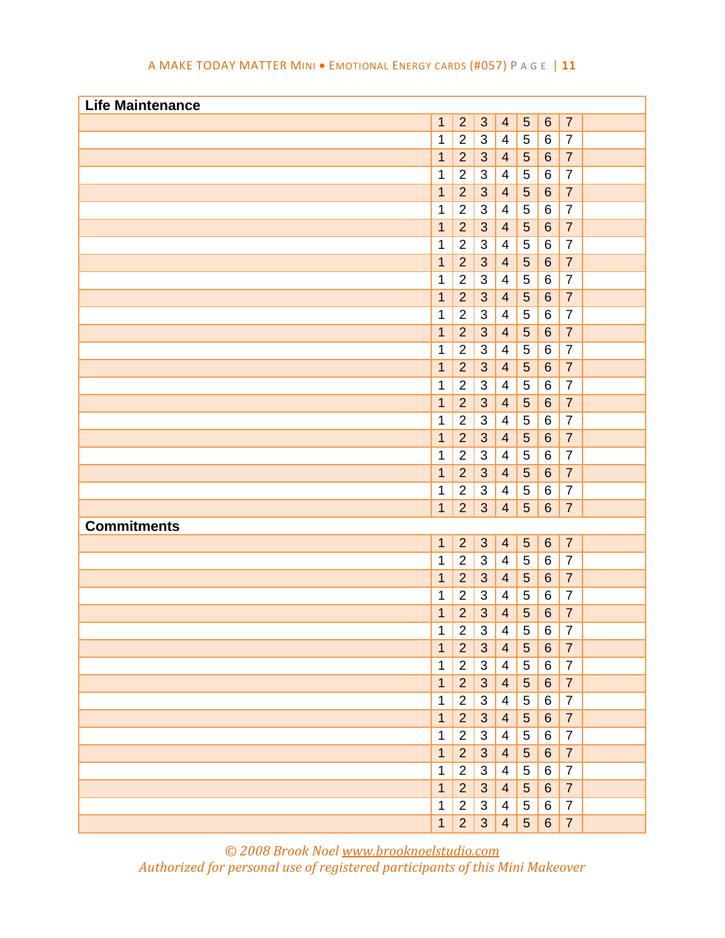| A MAKE TODAY MATTER MINI . EMOTIONAL ENERGY CARDS (#057) PAGE   11 |  |  |
|--------------------------------------------------------------------|--|--|
|--------------------------------------------------------------------|--|--|

| <b>Life Maintenance</b> |                |                |                |                          |                 |                  |                |  |
|-------------------------|----------------|----------------|----------------|--------------------------|-----------------|------------------|----------------|--|
|                         | $\mathbf{1}$   | $\overline{2}$ | 3              | $\overline{4}$           | 5               | $6\phantom{1}6$  | $\overline{7}$ |  |
|                         | 1              | $\overline{2}$ | $\sqrt{3}$     | $\overline{4}$           | 5               | 6                | $\overline{7}$ |  |
|                         | $\mathbf{1}$   | $\overline{2}$ | 3              | $\overline{4}$           | 5               | $6\phantom{1}6$  | $\overline{7}$ |  |
|                         | 1              | $\overline{2}$ | 3              | 4                        | 5               | 6                | $\overline{7}$ |  |
|                         | $\mathbf{1}$   | $\overline{2}$ | 3              | $\overline{4}$           | 5               | $6\phantom{1}6$  | $\overline{7}$ |  |
|                         | 1              | $\mathbf 2$    | 3              | 4                        | 5               | 6                | $\overline{7}$ |  |
|                         | $\mathbf{1}$   | $\overline{2}$ | 3              | $\overline{4}$           | 5               | $6\phantom{1}6$  | $\overline{7}$ |  |
|                         | 1              | $\overline{2}$ | 3              | $\overline{\mathcal{A}}$ | 5               | $\,6$            | $\overline{7}$ |  |
|                         | $\mathbf{1}$   | $\overline{2}$ | 3              | $\overline{4}$           | 5               | $6\phantom{1}6$  | $\overline{7}$ |  |
|                         | 1              | $\overline{2}$ | $\sqrt{3}$     | $\overline{4}$           | 5               | 6                | $\overline{7}$ |  |
|                         | $\mathbf{1}$   | $\overline{2}$ | 3              | $\overline{4}$           | 5               | $6\phantom{1}$   | $\overline{7}$ |  |
|                         | 1              | $\mathbf{2}$   | 3              | $\overline{4}$           | 5               | $\,6$            | $\overline{7}$ |  |
|                         | $\mathbf{1}$   | $\overline{2}$ | 3              | $\overline{4}$           | 5               | $6\phantom{1}$   | $\overline{7}$ |  |
|                         | 1              | $\mathbf 2$    | 3              | $\overline{4}$           | 5               | $\,6$            | $\overline{7}$ |  |
|                         | $\mathbf{1}$   | $\overline{2}$ | 3              | $\overline{4}$           | 5               | $6\phantom{1}$   | $\overline{7}$ |  |
|                         | 1              | $\mathbf 2$    | 3              | $\overline{4}$           | 5               | $\,6$            | $\overline{7}$ |  |
|                         | 1              | $\overline{2}$ | 3              | $\overline{4}$           | 5               | $6\phantom{1}$   | $\overline{7}$ |  |
|                         | 1              | $\mathbf 2$    | 3              | $\overline{4}$           | 5               | $\,6$            | $\overline{7}$ |  |
|                         | 1              | $\overline{2}$ | 3              | $\overline{4}$           | 5               | $6\phantom{1}6$  | $\overline{7}$ |  |
|                         | 1              | $\mathbf 2$    | 3              | $\overline{\mathcal{A}}$ | 5               | $\,6$            | $\overline{7}$ |  |
|                         | $\mathbf{1}$   | $\overline{2}$ | 3              | $\overline{4}$           | 5               | $6\phantom{1}6$  | $\overline{7}$ |  |
|                         | 1              | $\overline{2}$ | 3              | $\overline{4}$           | 5               | 6                | $\overline{7}$ |  |
|                         | $\mathbf{1}$   | $\overline{2}$ | 3              | $\overline{4}$           | 5               | 6                | $\overline{7}$ |  |
| <b>Commitments</b>      |                |                |                |                          |                 |                  |                |  |
|                         | $\mathbf 1$    | $\overline{2}$ | $\mathbf{3}$   | $\overline{4}$           | $\sqrt{5}$      | $\,6\,$          | $\overline{7}$ |  |
|                         | 1              | $\overline{2}$ | 3              | $\overline{4}$           | 5               | 6                | $\overline{7}$ |  |
|                         | $\mathbf{1}$   | $\overline{2}$ | 3              | $\overline{4}$           | 5               | $\,6$            | $\overline{7}$ |  |
|                         | 1              | $\overline{2}$ | 3              | 4                        | 5               | 6                | $\overline{7}$ |  |
|                         | $\overline{1}$ | $\overline{2}$ | 3              | $\overline{4}$           | 5               | $6\phantom{1}6$  | $\overline{7}$ |  |
|                         | 1              | 2              | 3              | 4                        | 5               | 6                | $\prime$       |  |
|                         | $\mathbf{1}$   | $\overline{2}$ | $\mathfrak{S}$ | $\overline{4}$           | $5\overline{)}$ | $6\phantom{1}$   | $\overline{7}$ |  |
|                         | $\mathbf 1$    | $\overline{2}$ | 3              | 4                        | 5               | 6                | $\overline{7}$ |  |
|                         | $\mathbf{1}$   | $\overline{2}$ | 3              | $\overline{4}$           | $5\overline{)}$ | 6                | $\overline{7}$ |  |
|                         | $\mathbf{1}$   | $\overline{2}$ | 3              | 4                        | 5               | 6                | $\overline{7}$ |  |
|                         | $\mathbf{1}$   | $\overline{2}$ | 3              | $\overline{4}$           | 5               | 6                | $\overline{7}$ |  |
|                         | $\mathbf 1$    | $\overline{2}$ | 3              | 4                        | 5               | 6                | $\overline{7}$ |  |
|                         | $\mathbf{1}$   | 2 <sup>2</sup> | 3              | $\overline{4}$           | 5               | $6 \overline{6}$ | $\overline{7}$ |  |
|                         | $\mathbf 1$    | $\overline{2}$ | 3              | 4                        | 5               | 6                | $\overline{7}$ |  |
|                         | $\mathbf{1}$   | 2 <sup>2</sup> | 3              | $\overline{4}$           | 5               | 6                | $\overline{7}$ |  |
|                         | $\mathbf 1$    | $\overline{2}$ | 3              | 4                        | 5               | 6                | $\overline{7}$ |  |
|                         | 1              | 2 <sup>1</sup> | 3              | $\overline{4}$           | $5\overline{)}$ | 6                | $\overline{7}$ |  |

*© 2008 Brook Noel www.brooknoelstudio.com Authorized for personal use of registered participants of this Mini Makeover*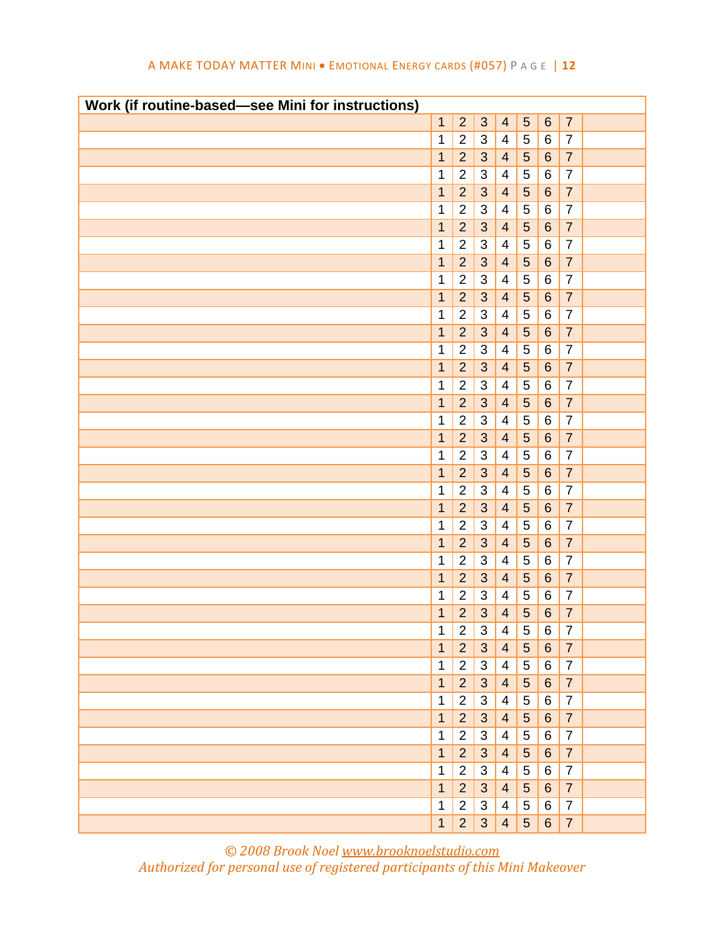| Work (if routine-based-see Mini for instructions) |              |                  |                           |                         |                 |         |                |  |
|---------------------------------------------------|--------------|------------------|---------------------------|-------------------------|-----------------|---------|----------------|--|
|                                                   | $\mathbf{1}$ | $\overline{2}$   | 3                         | $\overline{4}$          | $\overline{5}$  | $\,6$   | $\overline{7}$ |  |
|                                                   | 1            | $\boldsymbol{2}$ | $\sqrt{3}$                | $\overline{4}$          | $\mathbf 5$     | 6       | $\overline{7}$ |  |
|                                                   | $\mathbf 1$  | $\overline{2}$   | $\mathbf{3}$              | $\overline{4}$          | $\overline{5}$  | $\,6\,$ | $\overline{7}$ |  |
|                                                   | 1            | $\boldsymbol{2}$ | $\sqrt{3}$                | 4                       | 5               | 6       | $\overline{7}$ |  |
|                                                   | 1            | $\overline{2}$   | 3                         | $\overline{4}$          | $\overline{5}$  | $\,6$   | $\overline{7}$ |  |
|                                                   | 1            | $\mathbf 2$      | 3                         | 4                       | $\mathbf 5$     | 6       | $\overline{7}$ |  |
|                                                   | $\mathbf 1$  | $\overline{2}$   | $\mathbf{3}$              | $\overline{4}$          | $\overline{5}$  | $\,6\,$ | $\overline{7}$ |  |
|                                                   | 1            | $\overline{2}$   | $\mathsf 3$               | $\overline{\mathbf{4}}$ | $\mathbf 5$     | $\,6$   | $\overline{7}$ |  |
|                                                   | 1            | $\overline{2}$   | $\mathfrak{S}$            | $\overline{4}$          | $\overline{5}$  | $\,6$   | $\overline{7}$ |  |
|                                                   | 1            | $\overline{c}$   | $\ensuremath{\mathsf{3}}$ | $\overline{4}$          | 5               | 6       | $\overline{7}$ |  |
|                                                   | $\mathbf 1$  | $\overline{2}$   | 3                         | $\overline{4}$          | $\overline{5}$  | $\,6\,$ | $\overline{7}$ |  |
|                                                   | 1            | $\mathbf 2$      | $\sqrt{3}$                | $\overline{\mathbf{4}}$ | 5               | 6       | $\overline{7}$ |  |
|                                                   | $\mathbf{1}$ | $\overline{2}$   | 3                         | $\overline{4}$          | $\overline{5}$  | $\,6\,$ | $\overline{7}$ |  |
|                                                   | 1            | $\mathbf{2}$     | $\sqrt{3}$                | $\overline{\mathbf{4}}$ | 5               | 6       | $\overline{7}$ |  |
|                                                   | $\mathbf 1$  | $\overline{2}$   | 3                         | $\overline{4}$          | $\overline{5}$  | $\,6\,$ | $\overline{7}$ |  |
|                                                   | $\mathbf 1$  | $\mathbf 2$      | $\sqrt{3}$                | $\overline{4}$          | $\mathbf 5$     | $\,6$   | $\overline{7}$ |  |
|                                                   | 1            | $\overline{2}$   | $\mathbf{3}$              | $\overline{4}$          | 5               | $\,6$   | $\overline{7}$ |  |
|                                                   | 1            | $\mathbf 2$      | 3                         | $\overline{4}$          | 5               | $\,6$   | $\overline{7}$ |  |
|                                                   | 1            | $\overline{2}$   | 3                         | $\overline{4}$          | $\overline{5}$  | $\,6$   | $\overline{7}$ |  |
|                                                   | 1            | $\overline{2}$   | 3                         | $\overline{4}$          | 5               | 6       | $\overline{7}$ |  |
|                                                   | 1            | $\overline{2}$   | 3                         | $\overline{4}$          | 5               | $\,6$   | $\overline{7}$ |  |
|                                                   | 1            | $\overline{2}$   | $\sqrt{3}$                | $\overline{4}$          | 5               | $\,6$   | $\overline{7}$ |  |
|                                                   | $\mathbf 1$  | $\overline{2}$   | 3                         | $\overline{4}$          | $\sqrt{5}$      | $\,6$   | $\overline{7}$ |  |
|                                                   | 1            | $\overline{c}$   | 3                         | 4                       | 5               | 6       | $\overline{7}$ |  |
|                                                   | $\mathbf 1$  | $\overline{2}$   | $\mathfrak{B}$            | $\overline{4}$          | $\sqrt{5}$      | $\,6\,$ | $\overline{7}$ |  |
|                                                   | 1            | $\overline{2}$   | 3                         | $\overline{4}$          | 5               | 6       | $\overline{7}$ |  |
|                                                   | $\mathbf 1$  | $\overline{2}$   | 3                         | $\overline{4}$          | $\sqrt{5}$      | $\,6\,$ | $\overline{7}$ |  |
|                                                   | 1            | $\overline{2}$   | 3                         | 4                       | 5               | 6       | $\overline{7}$ |  |
|                                                   | 1            | $\overline{2}$   | 3                         | $\overline{\mathbf{4}}$ | $\overline{5}$  | $\,6$   | $\overline{7}$ |  |
|                                                   | 1            | 2                | 3                         | 4                       | 5               | 6       | 7              |  |
|                                                   | $\mathbf{1}$ | $\overline{2}$   | 3                         | $\overline{4}$          | 5 <sup>5</sup>  | 6       | $\overline{7}$ |  |
|                                                   | $\mathbf 1$  | $\overline{2}$   | 3                         | 4                       | 5               | 6       | $\overline{7}$ |  |
|                                                   | $\mathbf{1}$ | 2 <sup>2</sup>   | $\mathbf{3}$              | $\overline{4}$          | 5 <sup>5</sup>  | 6       | $\overline{7}$ |  |
|                                                   | $\mathbf 1$  | $\overline{2}$   | 3                         | 4                       | 5               | 6       | $\overline{7}$ |  |
|                                                   | $\mathbf{1}$ | 2 <sup>2</sup>   | 3                         | $\overline{4}$          | $5\phantom{.0}$ | 6       | $\overline{7}$ |  |
|                                                   | $\mathbf 1$  | $\overline{2}$   | 3                         | 4                       | 5               | 6       | $\overline{7}$ |  |
|                                                   | $\mathbf{1}$ | 2 <sup>2</sup>   | 3                         | $\overline{4}$          | $5\overline{)}$ | 6       | $\overline{7}$ |  |
|                                                   | $\mathbf{1}$ | $\overline{2}$   | 3                         | 4                       | 5               | 6       | $\overline{7}$ |  |
|                                                   | $\mathbf{1}$ | 2 <sup>2</sup>   | 3                         | $\overline{4}$          | 5               | 6       | $\overline{7}$ |  |
|                                                   | $\mathbf 1$  | $\overline{2}$   | 3                         | 4                       | 5               | 6       | $\overline{7}$ |  |
|                                                   | $\mathbf{1}$ | 2 <sup>1</sup>   | 3                         | $\overline{4}$          | 5               | 6       | $\overline{7}$ |  |

*© 2008 Brook Noel www.brooknoelstudio.com Authorized for personal use of registered participants of this Mini Makeover*